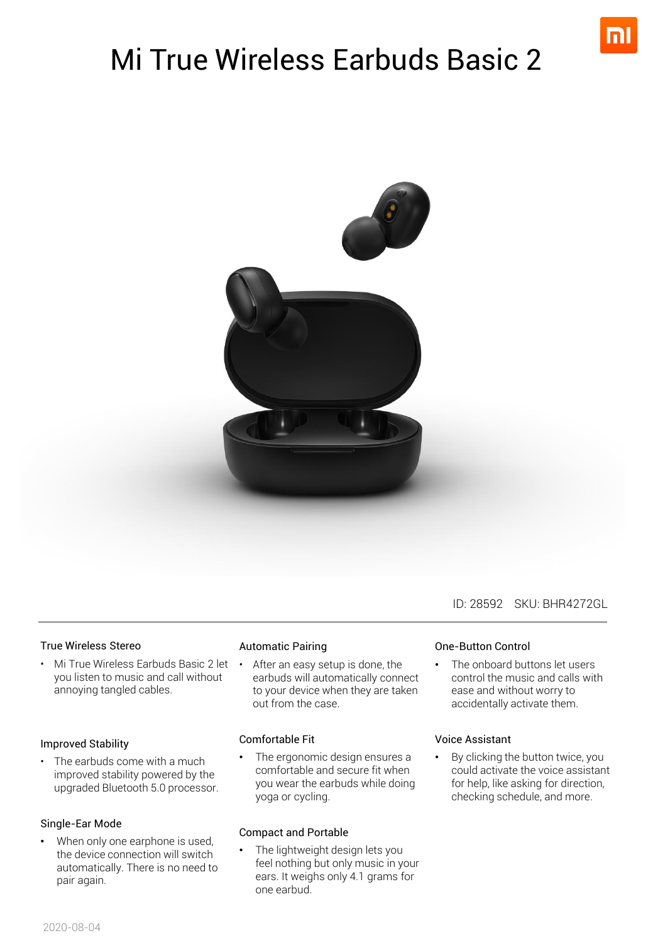

# Mi True Wireless Earbuds Basic 2



#### True Wireless Stereo

• Mi True Wireless Earbuds Basic 2 let • you listen to music and call without annoying tangled cables.

#### Improved Stability

The earbuds come with a much improved stability powered by the upgraded Bluetooth 5.0 processor.

#### Single-Ear Mode

When only one earphone is used, the device connection will switch automatically. There is no need to pair again.

### Automatic Pairing

After an easy setup is done, the earbuds will automatically connect to your device when they are taken out from the case.

#### Comfortable Fit

• The ergonomic design ensures a comfortable and secure fit when you wear the earbuds while doing yoga or cycling.

#### Compact and Portable

The lightweight design lets you feel nothing but only music in your ears. It weighs only 4.1 grams for one earbud.

One-Button Control

The onboard buttons let users control the music and calls with ease and without worry to accidentally activate them.

### Voice Assistant

• By clicking the button twice, you could activate the voice assistant for help, like asking for direction, checking schedule, and more.